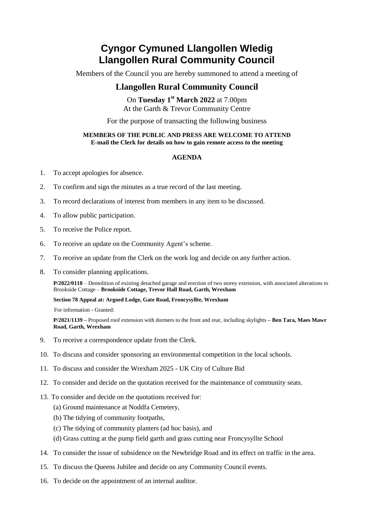# **Cyngor Cymuned Llangollen Wledig Llangollen Rural Community Council**

Members of the Council you are hereby summoned to attend a meeting of

### **Llangollen Rural Community Council**

On **Tuesday 1 st March 2022** at 7.00pm At the Garth & Trevor Community Centre

For the purpose of transacting the following business

#### **MEMBERS OF THE PUBLIC AND PRESS ARE WELCOME TO ATTEND E-mail the Clerk for details on how to gain remote access to the meeting**

#### **AGENDA**

- 1. To accept apologies for absence.
- 2. To confirm and sign the minutes as a true record of the last meeting.
- 3. To record declarations of interest from members in any item to be discussed.
- 4. To allow public participation.
- 5. To receive the Police report.
- 6. To receive an update on the Community Agent's scheme.
- 7. To receive an update from the Clerk on the work log and decide on any further action.
- 8. To consider planning applications.

**P/2022/0118** – Demolition of existing detached garage and erection of two storey extension, with associated alterations to Brookside Cottage – **Brookside Cottage, Trevor Hall Road, Garth, Wrexham**

**Section 78 Appeal at: Argoed Lodge, Gate Road, Froncysyllte, Wrexham**

For information - Granted:

**P/2021/1139 –** Proposed roof extension with dormers to the front and rear, including skylights **– Ben Tara, Maes Mawr Road, Garth, Wrexham**

- 9. To receive a correspondence update from the Clerk.
- 10. To discuss and consider sponsoring an environmental competition in the local schools.
- 11. To discuss and consider the Wrexham 2025 UK City of Culture Bid
- 12. To consider and decide on the quotation received for the maintenance of community seats.
- 13. To consider and decide on the quotations received for:
	- (a) Ground maintenance at Noddfa Cemetery,
	- (b) The tidying of community footpaths,
	- (c) The tidying of community planters (ad hoc basis), and
	- (d) Grass cutting at the pump field garth and grass cutting near Froncysyllte School
- 14. To consider the issue of subsidence on the Newbridge Road and its effect on traffic in the area.
- 15. To discuss the Queens Jubilee and decide on any Community Council events.
- 16. To decide on the appointment of an internal auditor.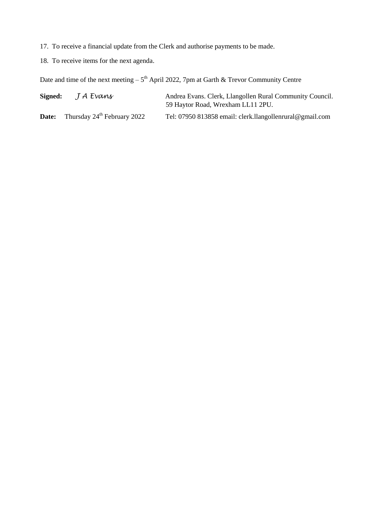17. To receive a financial update from the Clerk and authorise payments to be made.

18. To receive items for the next agenda.

Date and time of the next meeting  $-5<sup>th</sup>$  April 2022, 7pm at Garth & Trevor Community Centre

| Signed: | J A Evans                               | Andrea Evans. Clerk, Llangollen Rural Community Council.<br>59 Haytor Road, Wrexham LL11 2PU. |
|---------|-----------------------------------------|-----------------------------------------------------------------------------------------------|
| Date:   | Thursday 24 <sup>th</sup> February 2022 | Tel: 07950 813858 email: clerk.llangollenrural@gmail.com                                      |